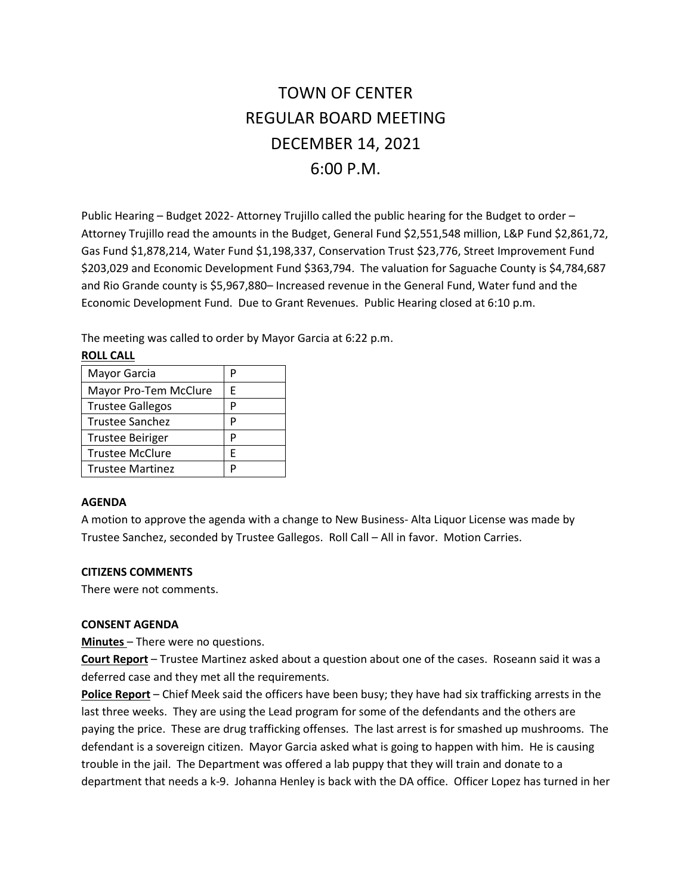# TOWN OF CENTER REGULAR BOARD MEETING DECEMBER 14, 2021 6:00 P.M.

Public Hearing – Budget 2022- Attorney Trujillo called the public hearing for the Budget to order – Attorney Trujillo read the amounts in the Budget, General Fund \$2,551,548 million, L&P Fund \$2,861,72, Gas Fund \$1,878,214, Water Fund \$1,198,337, Conservation Trust \$23,776, Street Improvement Fund \$203,029 and Economic Development Fund \$363,794. The valuation for Saguache County is \$4,784,687 and Rio Grande county is \$5,967,880– Increased revenue in the General Fund, Water fund and the Economic Development Fund. Due to Grant Revenues. Public Hearing closed at 6:10 p.m.

The meeting was called to order by Mayor Garcia at 6:22 p.m.

**ROLL CALL**

| Mayor Garcia            | Р |
|-------------------------|---|
| Mayor Pro-Tem McClure   | F |
| <b>Trustee Gallegos</b> | P |
| Trustee Sanchez         | P |
| <b>Trustee Beiriger</b> | P |
| <b>Trustee McClure</b>  | F |
| <b>Trustee Martinez</b> | P |

#### **AGENDA**

A motion to approve the agenda with a change to New Business- Alta Liquor License was made by Trustee Sanchez, seconded by Trustee Gallegos. Roll Call – All in favor. Motion Carries.

#### **CITIZENS COMMENTS**

There were not comments.

#### **CONSENT AGENDA**

**Minutes** – There were no questions.

**Court Report** – Trustee Martinez asked about a question about one of the cases. Roseann said it was a deferred case and they met all the requirements.

Police Report - Chief Meek said the officers have been busy; they have had six trafficking arrests in the last three weeks. They are using the Lead program for some of the defendants and the others are paying the price. These are drug trafficking offenses. The last arrest is for smashed up mushrooms. The defendant is a sovereign citizen. Mayor Garcia asked what is going to happen with him. He is causing trouble in the jail. The Department was offered a lab puppy that they will train and donate to a department that needs a k-9. Johanna Henley is back with the DA office. Officer Lopez has turned in her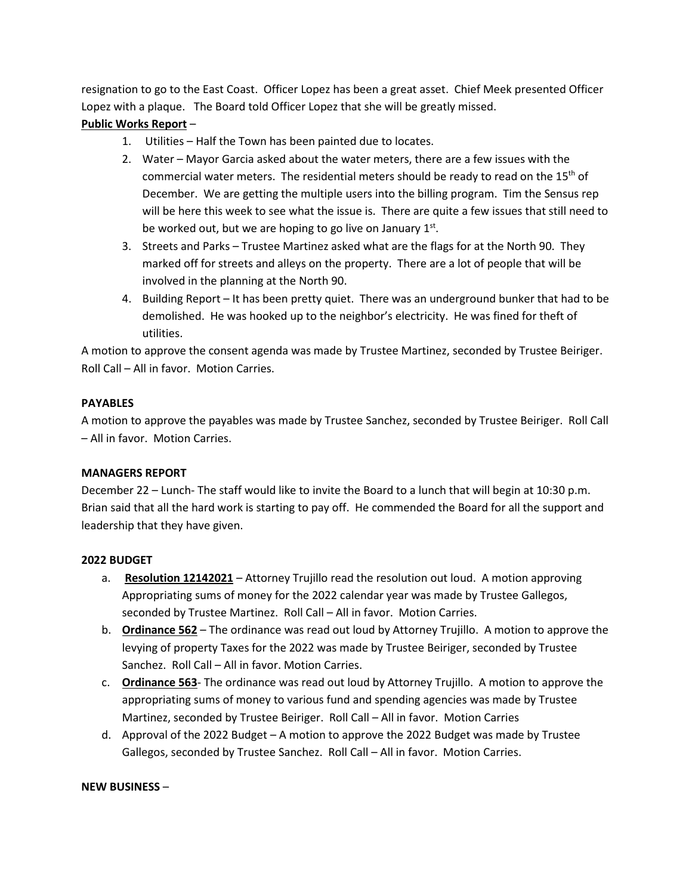resignation to go to the East Coast. Officer Lopez has been a great asset. Chief Meek presented Officer Lopez with a plaque. The Board told Officer Lopez that she will be greatly missed.

# **Public Works Report** –

- 1. Utilities Half the Town has been painted due to locates.
- 2. Water Mayor Garcia asked about the water meters, there are a few issues with the commercial water meters. The residential meters should be ready to read on the  $15<sup>th</sup>$  of December. We are getting the multiple users into the billing program. Tim the Sensus rep will be here this week to see what the issue is. There are quite a few issues that still need to be worked out, but we are hoping to go live on January  $1^{st}$ .
- 3. Streets and Parks Trustee Martinez asked what are the flags for at the North 90. They marked off for streets and alleys on the property. There are a lot of people that will be involved in the planning at the North 90.
- 4. Building Report It has been pretty quiet. There was an underground bunker that had to be demolished. He was hooked up to the neighbor's electricity. He was fined for theft of utilities.

A motion to approve the consent agenda was made by Trustee Martinez, seconded by Trustee Beiriger. Roll Call – All in favor. Motion Carries.

## **PAYABLES**

A motion to approve the payables was made by Trustee Sanchez, seconded by Trustee Beiriger. Roll Call – All in favor. Motion Carries.

## **MANAGERS REPORT**

December 22 – Lunch- The staff would like to invite the Board to a lunch that will begin at 10:30 p.m. Brian said that all the hard work is starting to pay off. He commended the Board for all the support and leadership that they have given.

## **2022 BUDGET**

- a. **Resolution 12142021** Attorney Trujillo read the resolution out loud. A motion approving Appropriating sums of money for the 2022 calendar year was made by Trustee Gallegos, seconded by Trustee Martinez. Roll Call – All in favor. Motion Carries.
- b. **Ordinance 562** The ordinance was read out loud by Attorney Trujillo. A motion to approve the levying of property Taxes for the 2022 was made by Trustee Beiriger, seconded by Trustee Sanchez. Roll Call – All in favor. Motion Carries.
- c. **Ordinance 563** The ordinance was read out loud by Attorney Trujillo. A motion to approve the appropriating sums of money to various fund and spending agencies was made by Trustee Martinez, seconded by Trustee Beiriger. Roll Call – All in favor. Motion Carries
- d. Approval of the 2022 Budget A motion to approve the 2022 Budget was made by Trustee Gallegos, seconded by Trustee Sanchez. Roll Call – All in favor. Motion Carries.

#### **NEW BUSINESS** –